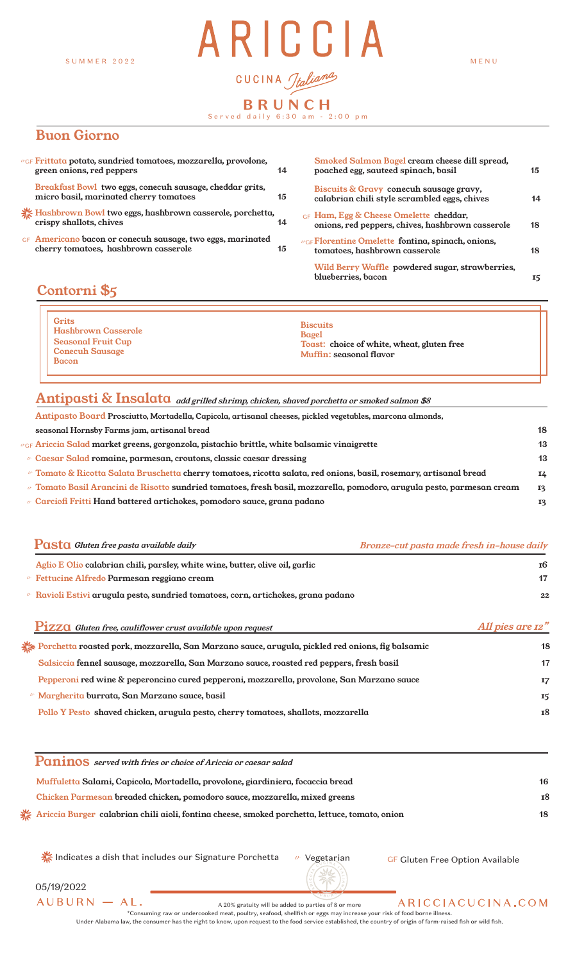MENU

CUCINA Jtalianas **BRUNCH** Served daily 6:30 am - 2:00 pm

ARICCIA

### Buon Giorno

| OGE Frittata potato, sundried tomatoes, mozzarella, provolone,<br>green onions, red peppers        | 14 | Smoked Salmon Bagel cream cheese dill spread,<br>poached egg, sauteed spinach, basil       | 15 |
|----------------------------------------------------------------------------------------------------|----|--------------------------------------------------------------------------------------------|----|
| Breakfast Bowl two eggs, conecuh sausage, cheddar grits,<br>micro basil, marinated cherry tomatoes | 15 | Biscuits & Gravy conecuh sausage gravy,<br>calabrian chili style scrambled eggs, chives    | 14 |
| <b>K</b> Hashbrown Bowl two eggs, hashbrown casserole, porchetta,<br>crispy shallots, chives       | 14 | GF Ham, Egg & Cheese Omelette cheddar,<br>onions, red peppers, chives, hashbrown casserole | 18 |
| GF Americano bacon or conecuh sausage, two eggs, marinated<br>cherry tomatoes, hashbrown casserole | 15 | OCF Florentine Omelette fontina, spinach, onions,<br>tomatoes, hashbrown casserole         | 18 |
|                                                                                                    |    | Wild Berry Waffle powdered sugar, strawberries,<br>blueberries, bacon                      | 15 |
| Contorni \$5                                                                                       |    |                                                                                            |    |

|  | <b>Grits</b><br>  Hashbrown Casserole<br>Seasonal Fruit Cup<br><b>Conecuh Sausage</b><br>Bacon | <b>Biscuits</b><br>Bagel<br>Toast: choice of white, wheat, gluten free<br>Muffin: seasonal flavor |
|--|------------------------------------------------------------------------------------------------|---------------------------------------------------------------------------------------------------|
|--|------------------------------------------------------------------------------------------------|---------------------------------------------------------------------------------------------------|

### Antipasti & Insalata add grilled shrimp, chicken, shaved porchetta or smoked salmon \$8

| Antipasto Board Prosciutto, Mortadella, Capicola, artisanal cheeses, pickled vegetables, marcona almonds,                     |    |
|-------------------------------------------------------------------------------------------------------------------------------|----|
| seasonal Hornsby Farms jam, artisanal bread                                                                                   | 18 |
| $\varphi_{\rm GF}$ Ariccia Salad market greens, gorgonzola, pistachio brittle, white balsamic vinaigrette                     | 13 |
| $\sigma$ Caesar Salad romaine, parmesan, croutons, classic caesar dressing                                                    | 13 |
| $\ell$ Tomato & Ricotta Salata Bruschetta cherry tomatoes, ricotta salata, red onions, basil, rosemary, artisanal bread       | 14 |
| $\alpha$ Tomato Basil Arancini de Risotto sundried tomatoes, fresh basil, mozzarella, pomodoro, arugula pesto, parmesan cream | 13 |
| $\circ$ Carciofi Fritti Hand battered artichokes, pomodoro sauce, grana padano                                                | 13 |

| <b>Pasta</b> Gluten free pasta available daily                                                   | Bronze-cut pasta made fresh in-house daily |    |
|--------------------------------------------------------------------------------------------------|--------------------------------------------|----|
| Aglio E Olio calabrian chili, parsley, white wine, butter, olive oil, garlic                     |                                            | 16 |
| $\circ$ Fettucine Alfredo Parmesan reggiano cream                                                |                                            | 17 |
| $^{\circ}$ Ravioli Estivi arugula pesto, sundried tomatoes, corn, artichokes, grana padano       |                                            | 22 |
| PizzO Gluten free, cauliflower crust available upon request                                      | All pies are 12"                           |    |
| Porchetta roasted pork, mozzarella, San Marzano sauce, arugula, pickled red onions, fig balsamic |                                            | 18 |
| Salsiccia fennel sausage, mozzarella, San Marzano sauce, roasted red peppers, fresh basil        |                                            | 17 |
|                                                                                                  |                                            |    |

Pepperoni red wine & peperoncino cured pepperoni, mozzarella, provolone, San Marzano sauce 17 Margherita burrata, San Marzano sauce, basil 15 *v* Pollo Y Pesto shaved chicken, arugula pesto, cherry tomatoes, shallots, mozzarella 18

| <b>Paninos</b> served with fries or choice of Ariccia or caesar salad                          |     |
|------------------------------------------------------------------------------------------------|-----|
| Muffuletta Salami, Capicola, Mortadella, provolone, giardiniera, focaccia bread                | 16  |
| Chicken Parmesan breaded chicken, pomodoro sauce, mozzarella, mixed greens                     | т8  |
| Ariccia Burger calabrian chili aioli, fontina cheese, smoked porchetta, lettuce, tomato, onion | 18. |

**※ Indicates a dish that includes our Signature Porchetta** v Vegetarian GF Gluten Free Option Available

05/19/2022

 $AUBURN - AL.$ ARICCIACUCINA.COM A 20% gratuity will be added to parties of 8 or more \*Consuming raw or undercooked meat, poultry, seafood, shellfish or eggs may increase your risk of food borne illness. Under Alabama law, the consumer has the right to know, upon request to the food service established, the country of origin of farm-raised fish or wild fish.